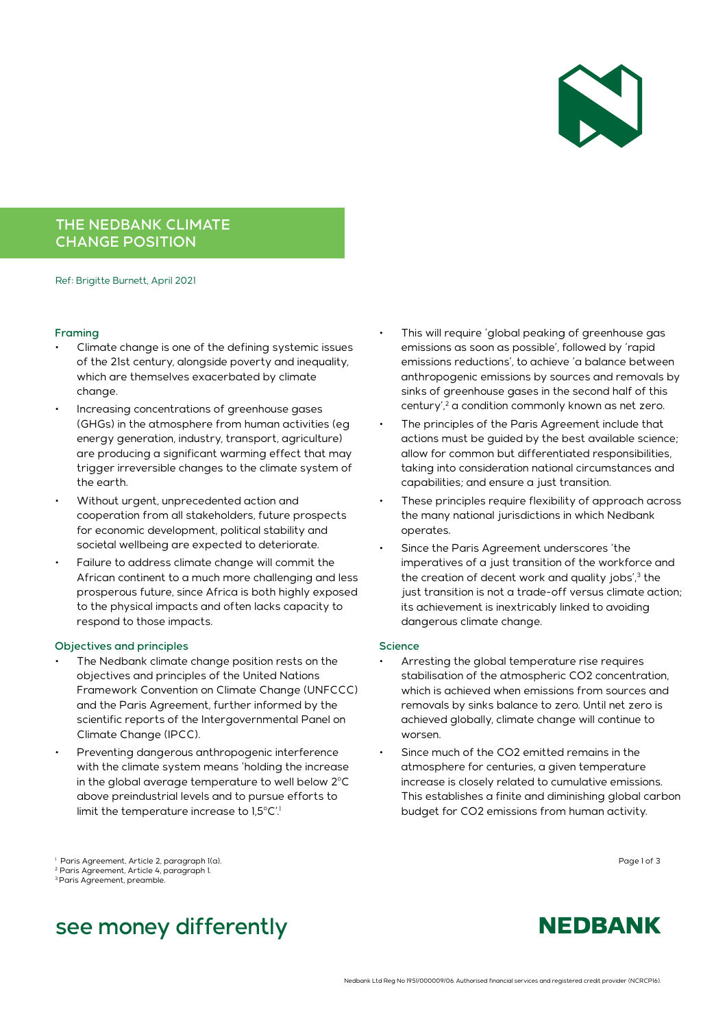

## THE NEDBANK CLIMATE CHANGE POSITION

Ref: Brigitte Burnett, April 2021

#### Framing

- Climate change is one of the defining systemic issues of the 21st century, alongside poverty and inequality, which are themselves exacerbated by climate change.
- Increasing concentrations of greenhouse gases (GHGs) in the atmosphere from human activities (eg energy generation, industry, transport, agriculture) are producing a significant warming effect that may trigger irreversible changes to the climate system of the earth.
- Without urgent, unprecedented action and cooperation from all stakeholders, future prospects for economic development, political stability and societal wellbeing are expected to deteriorate.
- Failure to address climate change will commit the African continent to a much more challenging and less prosperous future, since Africa is both highly exposed to the physical impacts and often lacks capacity to respond to those impacts.

#### Objectives and principles

- The Nedbank climate change position rests on the objectives and principles of the United Nations Framework Convention on Climate Change (UNFCCC) and the Paris Agreement, further informed by the scientific reports of the Intergovernmental Panel on Climate Change (IPCC).
- Preventing dangerous anthropogenic interference with the climate system means 'holding the increase in the global average temperature to well below  $2^{\circ}$ C above preindustrial levels and to pursue efforts to limit the temperature increase to 1,5°C'.
- This will require 'global peaking of greenhouse gas emissions as soon as possible', followed by 'rapid emissions reductions', to achieve 'a balance between anthropogenic emissions by sources and removals by sinks of greenhouse gases in the second half of this century',<sup>2</sup> a condition commonly known as net zero.
- The principles of the Paris Agreement include that actions must be guided by the best available science; allow for common but differentiated responsibilities, taking into consideration national circumstances and capabilities; and ensure a just transition.
- These principles require flexibility of approach across the many national jurisdictions in which Nedbank operates.
- Since the Paris Agreement underscores 'the imperatives of a just transition of the workforce and the creation of decent work and quality jobs',<sup>3</sup> the just transition is not a trade-off versus climate action; its achievement is inextricably linked to avoiding dangerous climate change.

#### Science

- Arresting the global temperature rise requires stabilisation of the atmospheric CO2 concentration, which is achieved when emissions from sources and removals by sinks balance to zero. Until net zero is achieved globally, climate change will continue to worsen.
- Since much of the CO2 emitted remains in the atmosphere for centuries, a given temperature increase is closely related to cumulative emissions. This establishes a finite and diminishing global carbon budget for CO2 emissions from human activity.

Page 1 of 3 <sup>1</sup> Paris Agreement, Article 2, paragraph 1(a). 2 Paris Agreement, Article 4, paragraph 1.

3 Paris Agreement, preamble.

# see money differently

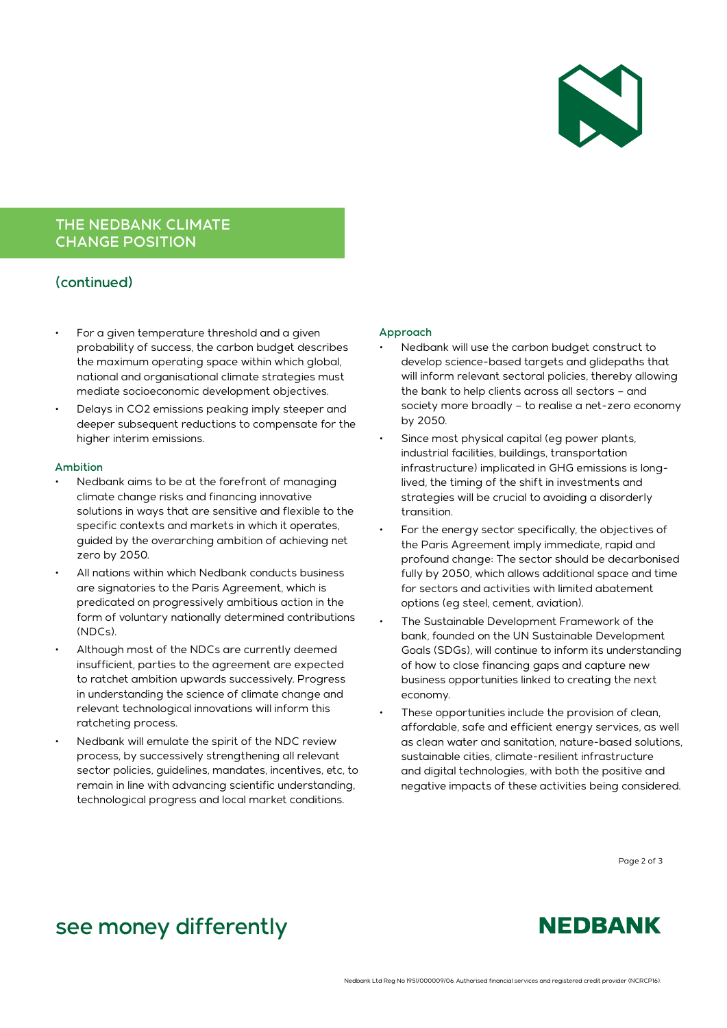

## THE NEDBANK CLIMATE CHANGE POSITION

### (continued)

- For a given temperature threshold and a given probability of success, the carbon budget describes the maximum operating space within which global, national and organisational climate strategies must mediate socioeconomic development objectives.
- Delays in CO2 emissions peaking imply steeper and deeper subsequent reductions to compensate for the higher interim emissions.

#### Ambition

- Nedbank aims to be at the forefront of managing climate change risks and financing innovative solutions in ways that are sensitive and flexible to the specific contexts and markets in which it operates, guided by the overarching ambition of achieving net zero by 2050.
- All nations within which Nedbank conducts business are signatories to the Paris Agreement, which is predicated on progressively ambitious action in the form of voluntary nationally determined contributions (NDCs).
- Although most of the NDCs are currently deemed insufficient, parties to the agreement are expected to ratchet ambition upwards successively. Progress in understanding the science of climate change and relevant technological innovations will inform this ratcheting process.
- Nedbank will emulate the spirit of the NDC review process, by successively strengthening all relevant sector policies, guidelines, mandates, incentives, etc, to remain in line with advancing scientific understanding, technological progress and local market conditions.

#### Approach

- Nedbank will use the carbon budget construct to develop science-based targets and glidepaths that will inform relevant sectoral policies, thereby allowing the bank to help clients across all sectors – and society more broadly – to realise a net-zero economy by 2050.
- Since most physical capital (eg power plants, industrial facilities, buildings, transportation infrastructure) implicated in GHG emissions is longlived, the timing of the shift in investments and strategies will be crucial to avoiding a disorderly transition.
- For the energy sector specifically, the objectives of the Paris Agreement imply immediate, rapid and profound change: The sector should be decarbonised fully by 2050, which allows additional space and time for sectors and activities with limited abatement options (eg steel, cement, aviation).
- The Sustainable Development Framework of the bank, founded on the UN Sustainable Development Goals (SDGs), will continue to inform its understanding of how to close financing gaps and capture new business opportunities linked to creating the next economy.
- These opportunities include the provision of clean, affordable, safe and efficient energy services, as well as clean water and sanitation, nature-based solutions, sustainable cities, climate-resilient infrastructure and digital technologies, with both the positive and negative impacts of these activities being considered.

Page 2 of 3

# see money differently